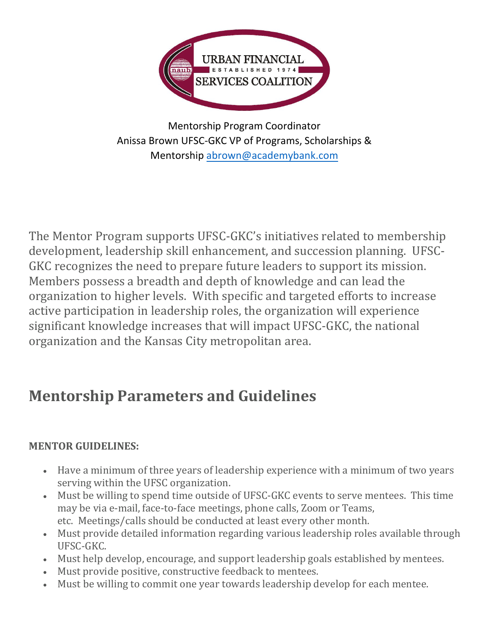

Mentorship Program Coordinator Anissa Brown UFSC-GKC VP of Programs, Scholarships & Mentorship [abrown@academybank.co](mailto:Theodis.Watson@centralbank.net)m

The Mentor Program supports UFSC-GKC's initiatives related to membership development, leadership skill enhancement, and succession planning. UFSC-GKC recognizes the need to prepare future leaders to support its mission. Members possess a breadth and depth of knowledge and can lead the organization to higher levels. With specific and targeted efforts to increase active participation in leadership roles, the organization will experience significant knowledge increases that will impact UFSC-GKC, the national organization and the Kansas City metropolitan area.

# **Mentorship Parameters and Guidelines**

## **MENTOR GUIDELINES:**

- Have a minimum of three years of leadership experience with a minimum of two years serving within the UFSC organization.
- Must be willing to spend time outside of UFSC-GKC events to serve mentees. This time may be via e-mail, face-to-face meetings, phone calls, Zoom or Teams, etc. Meetings/calls should be conducted at least every other month.
- Must provide detailed information regarding various leadership roles available through UFSC-GKC.
- Must help develop, encourage, and support leadership goals established by mentees.
- Must provide positive, constructive feedback to mentees.
- Must be willing to commit one year towards leadership develop for each mentee.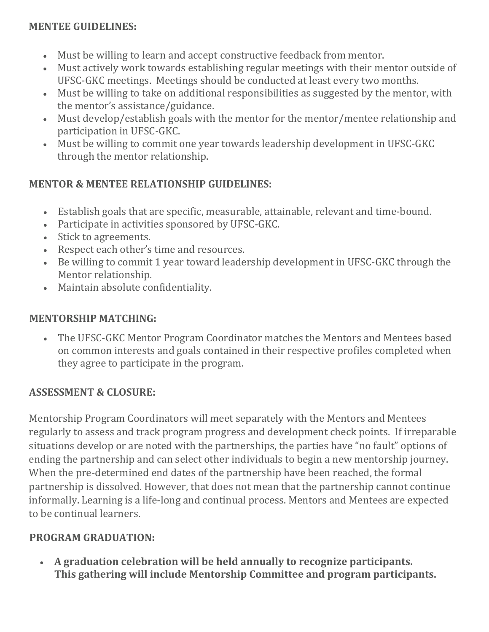#### **MENTEE GUIDELINES:**

- Must be willing to learn and accept constructive feedback from mentor.
- Must actively work towards establishing regular meetings with their mentor outside of UFSC-GKC meetings. Meetings should be conducted at least every two months.
- Must be willing to take on additional responsibilities as suggested by the mentor, with the mentor's assistance/guidance.
- Must develop/establish goals with the mentor for the mentor/mentee relationship and participation in UFSC-GKC.
- Must be willing to commit one year towards leadership development in UFSC-GKC through the mentor relationship.

#### **MENTOR & MENTEE RELATIONSHIP GUIDELINES:**

- Establish goals that are specific, measurable, attainable, relevant and time-bound.
- Participate in activities sponsored by UFSC-GKC.
- Stick to agreements.
- Respect each other's time and resources.
- Be willing to commit 1 year toward leadership development in UFSC-GKC through the Mentor relationship.
- Maintain absolute confidentiality.

#### **MENTORSHIP MATCHING:**

• The UFSC-GKC Mentor Program Coordinator matches the Mentors and Mentees based on common interests and goals contained in their respective profiles completed when they agree to participate in the program.

## **ASSESSMENT & CLOSURE:**

Mentorship Program Coordinators will meet separately with the Mentors and Mentees regularly to assess and track program progress and development check points. If irreparable situations develop or are noted with the partnerships, the parties have "no fault" options of ending the partnership and can select other individuals to begin a new mentorship journey. When the pre-determined end dates of the partnership have been reached, the formal partnership is dissolved. However, that does not mean that the partnership cannot continue informally. Learning is a life-long and continual process. Mentors and Mentees are expected to be continual learners.

#### **PROGRAM GRADUATION:**

• **A graduation celebration will be held annually to recognize participants. This gathering will include Mentorship Committee and program participants.**